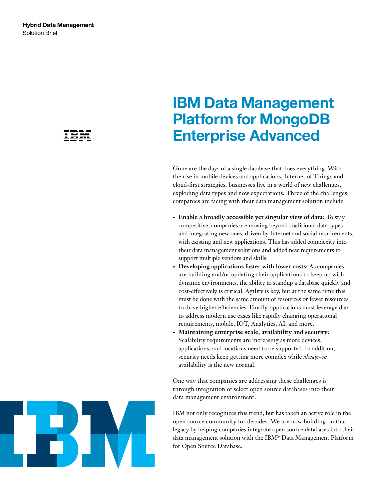# **IBM Data Management Platform for MongoDB Enterprise Advanced**

Gone are the days of a single database that does everything. With the rise in mobile devices and applications, Internet of Things and cloud-first strategies, businesses live in a world of new challenges, exploding data types and now expectations. Three of the challenges companies are facing with their data management solution include:

- **• Enable a broadly accessible yet singular view of data:** To stay competitive, companies are moving beyond traditional data types and integrating new ones, driven by Internet and social requirements, with existing and new applications. This has added complexity into their data management solutions and added new requirements to support multiple vendors and skills.
- **• Developing applications faster with lower costs:** As companies are building and/or updating their applications to keep up with dynamic environments, the ability to standup a database quickly and cost-effectively is critical. Agility is key, but at the same time this must be done with the same amount of resources or fewer resources to drive higher efficiencies. Finally, applications must leverage data to address modern use cases like rapidly changing operational requirements, mobile, IOT, Analytics, AI, and more.
- **• Maintaining enterprise scale, availability and security:**  Scalability requirements are increasing as more devices, applications, and locations need to be supported. In addition, security needs keep getting more complex while *always-on* availability is the new normal.

One way that companies are addressing these challenges is through integration of select open source databases into their data management environment.

IBM not only recognizes this trend, but has taken an active role in the open source community for decades. We are now building on that legacy by helping companies integrate open source databases into their data management solution with the IBM® Data Management Platform for Open Source Database.

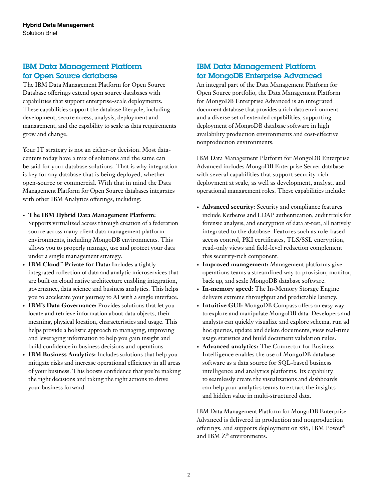## IBM Data Management Platform for Open Source database

The IBM Data Management Platform for Open Source Database offerings extend open source databases with capabilities that support enterprise-scale deployments. These capabilities support the database lifecycle, including development, secure access, analysis, deployment and management, and the capability to scale as data requirements grow and change.

Your IT strategy is not an either-or decision. Most datacenters today have a mix of solutions and the same can be said for your database solutions. That is why integration is key for any database that is being deployed, whether open-source or commercial. With that in mind the Data Management Platform for Open Source databases integrates with other IBM Analytics offerings, including:

- **• The IBM Hybrid Data Management Platform:**
- Supports virtualized access through creation of a federation source across many client data management platform environments, including MongoDB environments. This allows you to properly manage, use and protect your data under a single management strategy.
- **• IBM Cloud™ Private for Data:** Includes a tightly integrated collection of data and analytic microservices that are built on cloud native architecture enabling integration, governance, data science and business analytics. This helps you to accelerate your journey to AI with a single interface.
- **• IBM's Data Governance:** Provides solutions that let you locate and retrieve information about data objects, their meaning, physical location, characteristics and usage. This helps provide a holistic approach to managing, improving and leveraging information to help you gain insight and build confidence in business decisions and operations.
- **• IBM Business Analytics:** Includes solutions that help you mitigate risks and increase operational efficiency in all areas of your business. This boosts confidence that you're making the right decisions and taking the right actions to drive your business forward.

### IBM Data Management Platform for MongoDB Enterprise Advanced

An integral part of the Data Management Platform for Open Source portfolio, the Data Management Platform for MongoDB Enterprise Advanced is an integrated document database that provides a rich data environment and a diverse set of extended capabilities, supporting deployment of MongoDB database software in high availability production environments and cost-effective nonproduction environments.

IBM Data Management Platform for MongoDB Enterprise Advanced includes MongoDB Enterprise Server database with several capabilities that support security-rich deployment at scale, as well as development, analyst, and operational management roles. These capabilities include:

- **• Advanced security:** Security and compliance features include Kerberos and LDAP authentication, audit trails for forensic analysis, and encryption of data at-rest, all natively integrated to the database. Features such as role-based access control, PKI certificates, TLS/SSL encryption, read-only views and field-level redaction complement this security-rich component.
- **• Improved management:** Management platforms give operations teams a streamlined way to provision, monitor, back up, and scale MongoDB database software.
- **• In-memory speed:** The In-Memory Storage Engine delivers extreme throughput and predictable latency.
- **• Intuitive GUI:** MongoDB Compass offers an easy way to explore and manipulate MongoDB data. Developers and analysts can quickly visualize and explore schema, run ad hoc queries, update and delete documents, view real-time usage statistics and build document validation rules.
- **• Advanced analytics:** The Connector for Business Intelligence enables the use of MongoDB database software as a data source for SQL-based business intelligence and analytics platforms. Its capability to seamlessly create the visualizations and dashboards can help your analytics teams to extract the insights and hidden value in multi-structured data.

IBM Data Management Platform for MongoDB Enterprise Advanced is delivered in production and nonproduction offerings, and supports deployment on x86, IBM Power® and IBM Z® environments.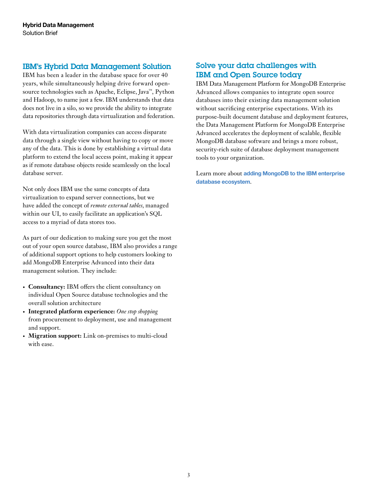#### IBM's Hybrid Data Management Solution

IBM has been a leader in the database space for over 40 years, while simultaneously helping drive forward opensource technologies such as Apache, Eclipse, Java™, Python and Hadoop, to name just a few. IBM understands that data does not live in a silo, so we provide the ability to integrate data repositories through data virtualization and federation.

With data virtualization companies can access disparate data through a single view without having to copy or move any of the data. This is done by establishing a virtual data platform to extend the local access point, making it appear as if remote database objects reside seamlessly on the local database server.

Not only does IBM use the same concepts of data virtualization to expand server connections, but we have added the concept of *remote external tables*, managed within our UI, to easily facilitate an application's SQL access to a myriad of data stores too.

As part of our dedication to making sure you get the most out of your open source database, IBM also provides a range of additional support options to help customers looking to add MongoDB Enterprise Advanced into their data management solution. They include:

- **• Consultancy:** IBM offers the client consultancy on individual Open Source database technologies and the overall solution architecture
- **• Integrated platform experience:** *One stop shopping* from procurement to deployment, use and management and support.
- **• Migration support:** Link on-premises to multi-cloud with ease.

### Solve your data challenges with IBM and Open Source today

IBM Data Management Platform for MongoDB Enterprise Advanced allows companies to integrate open source databases into their existing data management solution without sacrificing enterprise expectations. With its purpose-built document database and deployment features, the Data Management Platform for MongoDB Enterprise Advanced accelerates the deployment of scalable, flexible MongoDB database software and brings a more robust, security-rich suite of database deployment management tools to your organization.

Learn more about **[adding MongoDB to the IBM enterprise](http://ibm.biz/BdYZ93)  [database ecosystem](http://ibm.biz/BdYZ93)**.